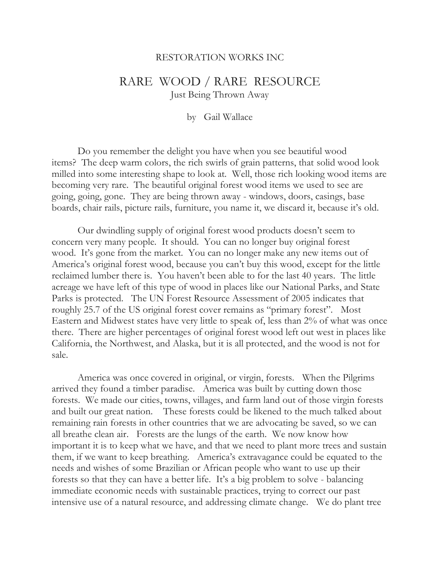## RESTORATION WORKS INC

## RARE WOOD / RARE RESOURCE Just Being Thrown Away

by Gail Wallace

Do you remember the delight you have when you see beautiful wood items? The deep warm colors, the rich swirls of grain patterns, that solid wood look milled into some interesting shape to look at. Well, those rich looking wood items are becoming very rare. The beautiful original forest wood items we used to see are going, going, gone. They are being thrown away - windows, doors, casings, base boards, chair rails, picture rails, furniture, you name it, we discard it, because it's old.

Our dwindling supply of original forest wood products doesn't seem to concern very many people. It should. You can no longer buy original forest wood. It's gone from the market. You can no longer make any new items out of America's original forest wood, because you can't buy this wood, except for the little reclaimed lumber there is. You haven't been able to for the last 40 years. The little acreage we have left of this type of wood in places like our National Parks, and State Parks is protected. The UN Forest Resource Assessment of 2005 indicates that roughly 25.7 of the US original forest cover remains as "primary forest". Most Eastern and Midwest states have very little to speak of, less than 2% of what was once there. There are higher percentages of original forest wood left out west in places like California, the Northwest, and Alaska, but it is all protected, and the wood is not for sale.

America was once covered in original, or virgin, forests. When the Pilgrims arrived they found a timber paradise. America was built by cutting down those forests. We made our cities, towns, villages, and farm land out of those virgin forests and built our great nation. These forests could be likened to the much talked about remaining rain forests in other countries that we are advocating be saved, so we can all breathe clean air. Forests are the lungs of the earth. We now know how important it is to keep what we have, and that we need to plant more trees and sustain them, if we want to keep breathing. America's extravagance could be equated to the needs and wishes of some Brazilian or African people who want to use up their forests so that they can have a better life. It's a big problem to solve - balancing immediate economic needs with sustainable practices, trying to correct our past intensive use of a natural resource, and addressing climate change. We do plant tree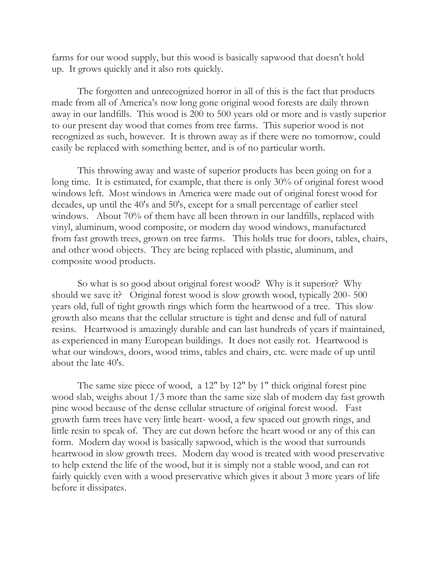farms for our wood supply, but this wood is basically sapwood that doesn't hold up. It grows quickly and it also rots quickly.

The forgotten and unrecognized horror in all of this is the fact that products made from all of America's now long gone original wood forests are daily thrown away in our landfills. This wood is 200 to 500 years old or more and is vastly superior to our present day wood that comes from tree farms. This superior wood is not recognized as such, however. It is thrown away as if there were no tomorrow, could easily be replaced with something better, and is of no particular worth.

This throwing away and waste of superior products has been going on for a long time. It is estimated, for example, that there is only 30% of original forest wood windows left. Most windows in America were made out of original forest wood for decades, up until the 40's and 50's, except for a small percentage of earlier steel windows. About 70% of them have all been thrown in our landfills, replaced with vinyl, aluminum, wood composite, or modern day wood windows, manufactured from fast growth trees, grown on tree farms. This holds true for doors, tables, chairs, and other wood objects. They are being replaced with plastic, aluminum, and composite wood products.

So what is so good about original forest wood? Why is it superior? Why should we save it? Original forest wood is slow growth wood, typically 200- 500 years old, full of tight growth rings which form the heartwood of a tree. This slow growth also means that the cellular structure is tight and dense and full of natural resins. Heartwood is amazingly durable and can last hundreds of years if maintained, as experienced in many European buildings. It does not easily rot. Heartwood is what our windows, doors, wood trims, tables and chairs, etc. were made of up until about the late 40's.

The same size piece of wood, a 12" by 12" by 1" thick original forest pine wood slab, weighs about 1/3 more than the same size slab of modern day fast growth pine wood because of the dense cellular structure of original forest wood. Fast growth farm trees have very little heart- wood, a few spaced out growth rings, and little resin to speak of. They are cut down before the heart wood or any of this can form. Modern day wood is basically sapwood, which is the wood that surrounds heartwood in slow growth trees. Modern day wood is treated with wood preservative to help extend the life of the wood, but it is simply not a stable wood, and can rot fairly quickly even with a wood preservative which gives it about 3 more years of life before it dissipates.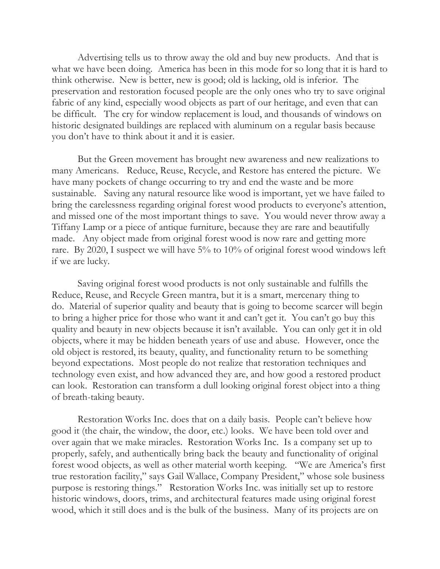Advertising tells us to throw away the old and buy new products. And that is what we have been doing. America has been in this mode for so long that it is hard to think otherwise. New is better, new is good; old is lacking, old is inferior. The preservation and restoration focused people are the only ones who try to save original fabric of any kind, especially wood objects as part of our heritage, and even that can be difficult. The cry for window replacement is loud, and thousands of windows on historic designated buildings are replaced with aluminum on a regular basis because you don't have to think about it and it is easier.

But the Green movement has brought new awareness and new realizations to many Americans. Reduce, Reuse, Recycle, and Restore has entered the picture. We have many pockets of change occurring to try and end the waste and be more sustainable. Saving any natural resource like wood is important, yet we have failed to bring the carelessness regarding original forest wood products to everyone's attention, and missed one of the most important things to save. You would never throw away a Tiffany Lamp or a piece of antique furniture, because they are rare and beautifully made. Any object made from original forest wood is now rare and getting more rare. By 2020, I suspect we will have 5% to 10% of original forest wood windows left if we are lucky.

Saving original forest wood products is not only sustainable and fulfills the Reduce, Reuse, and Recycle Green mantra, but it is a smart, mercenary thing to do. Material of superior quality and beauty that is going to become scarcer will begin to bring a higher price for those who want it and can't get it. You can't go buy this quality and beauty in new objects because it isn't available. You can only get it in old objects, where it may be hidden beneath years of use and abuse. However, once the old object is restored, its beauty, quality, and functionality return to be something beyond expectations. Most people do not realize that restoration techniques and technology even exist, and how advanced they are, and how good a restored product can look. Restoration can transform a dull looking original forest object into a thing of breath-taking beauty.

Restoration Works Inc. does that on a daily basis. People can't believe how good it (the chair, the window, the door, etc.) looks. We have been told over and over again that we make miracles. Restoration Works Inc. Is a company set up to properly, safely, and authentically bring back the beauty and functionality of original forest wood objects, as well as other material worth keeping. "We are America's first true restoration facility," says Gail Wallace, Company President," whose sole business purpose is restoring things." Restoration Works Inc. was initially set up to restore historic windows, doors, trims, and architectural features made using original forest wood, which it still does and is the bulk of the business. Many of its projects are on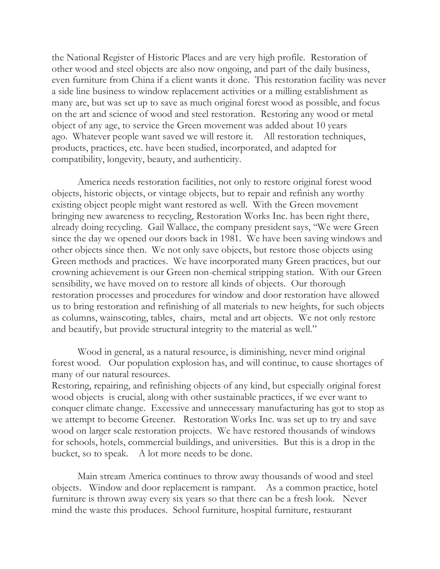the National Register of Historic Places and are very high profile. Restoration of other wood and steel objects are also now ongoing, and part of the daily business, even furniture from China if a client wants it done. This restoration facility was never a side line business to window replacement activities or a milling establishment as many are, but was set up to save as much original forest wood as possible, and focus on the art and science of wood and steel restoration. Restoring any wood or metal object of any age, to service the Green movement was added about 10 years ago. Whatever people want saved we will restore it. All restoration techniques, products, practices, etc. have been studied, incorporated, and adapted for compatibility, longevity, beauty, and authenticity.

America needs restoration facilities, not only to restore original forest wood objects, historic objects, or vintage objects, but to repair and refinish any worthy existing object people might want restored as well. With the Green movement bringing new awareness to recycling, Restoration Works Inc. has been right there, already doing recycling. Gail Wallace, the company president says, "We were Green since the day we opened our doors back in 1981. We have been saving windows and other objects since then. We not only save objects, but restore those objects using Green methods and practices. We have incorporated many Green practices, but our crowning achievement is our Green non-chemical stripping station. With our Green sensibility, we have moved on to restore all kinds of objects. Our thorough restoration processes and procedures for window and door restoration have allowed us to bring restoration and refinishing of all materials to new heights, for such objects as columns, wainscoting, tables, chairs, metal and art objects. We not only restore and beautify, but provide structural integrity to the material as well."

Wood in general, as a natural resource, is diminishing, never mind original forest wood. Our population explosion has, and will continue, to cause shortages of many of our natural resources.

Restoring, repairing, and refinishing objects of any kind, but especially original forest wood objects is crucial, along with other sustainable practices, if we ever want to conquer climate change. Excessive and unnecessary manufacturing has got to stop as we attempt to become Greener. Restoration Works Inc. was set up to try and save wood on larger scale restoration projects. We have restored thousands of windows for schools, hotels, commercial buildings, and universities. But this is a drop in the bucket, so to speak. A lot more needs to be done.

Main stream America continues to throw away thousands of wood and steel objects. Window and door replacement is rampant. As a common practice, hotel furniture is thrown away every six years so that there can be a fresh look. Never mind the waste this produces. School furniture, hospital furniture, restaurant